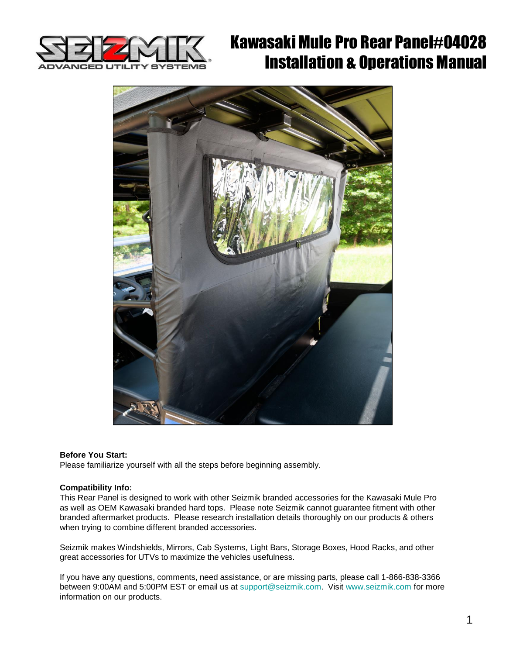

# Kawasaki Mule Pro Rear Panel#04028 Installation & Operations Manual



#### **Before You Start:**

Please familiarize yourself with all the steps before beginning assembly.

#### **Compatibility Info:**

This Rear Panel is designed to work with other Seizmik branded accessories for the Kawasaki Mule Pro as well as OEM Kawasaki branded hard tops. Please note Seizmik cannot guarantee fitment with other branded aftermarket products. Please research installation details thoroughly on our products & others when trying to combine different branded accessories.

Seizmik makes Windshields, Mirrors, Cab Systems, Light Bars, Storage Boxes, Hood Racks, and other great accessories for UTVs to maximize the vehicles usefulness.

If you have any questions, comments, need assistance, or are missing parts, please call 1-866-838-3366 between 9:00AM and 5:00PM EST or email us at [support@seizmik.com](mailto:support@seizmik.com). Visit [www.seizmik.com](http://www.seizmik.com/) for more information on our products.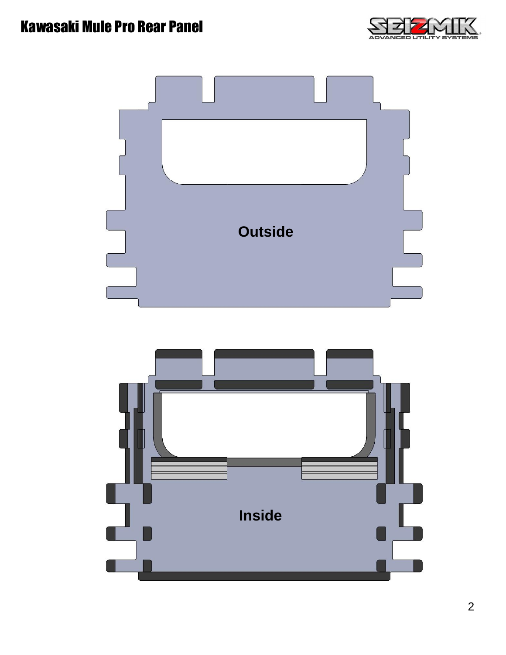## Kawasaki Mule Pro Rear Panel